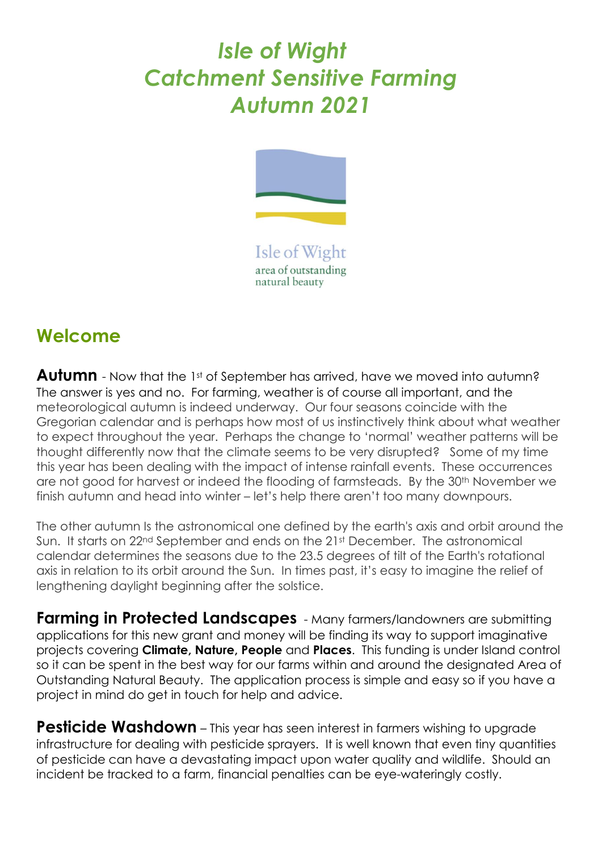## *Isle of Wight Catchment Sensitive Farming Autumn 2021*



Isle of Wight area of outstanding natural beauty

## **Welcome**

**Autumn** - Now that the 1st of September has arrived, have we moved into autumn? The answer is yes and no. For farming, weather is of course all important, and the meteorological autumn is indeed underway. Our four seasons coincide with the Gregorian calendar and is perhaps how most of us instinctively think about what weather to expect throughout the year. Perhaps the change to 'normal' weather patterns will be thought differently now that the climate seems to be very disrupted? Some of my time this year has been dealing with the impact of intense rainfall events. These occurrences are not good for harvest or indeed the flooding of farmsteads. By the 30<sup>th</sup> November we finish autumn and head into winter – let's help there aren't too many downpours.

The other autumn Is the astronomical one defined by the earth's axis and orbit around the Sun. It starts on 22<sup>nd</sup> September and ends on the 21st December. The astronomical calendar determines the seasons due to the 23.5 degrees of tilt of the Earth's rotational axis in relation to its orbit around the Sun. In times past, it's easy to imagine the relief of lengthening daylight beginning after the solstice.

**Farming in Protected Landscapes** - Many farmers/landowners are submitting applications for this new grant and money will be finding its way to support imaginative projects covering **Climate, Nature, People** and **Places**. This funding is under Island control so it can be spent in the best way for our farms within and around the designated Area of Outstanding Natural Beauty. The application process is simple and easy so if you have a project in mind do get in touch for help and advice.

**Pesticide Washdown** – This year has seen interest in farmers wishing to upgrade infrastructure for dealing with pesticide sprayers. It is well known that even tiny quantities of pesticide can have a devastating impact upon water quality and wildlife. Should an incident be tracked to a farm, financial penalties can be eye-wateringly costly.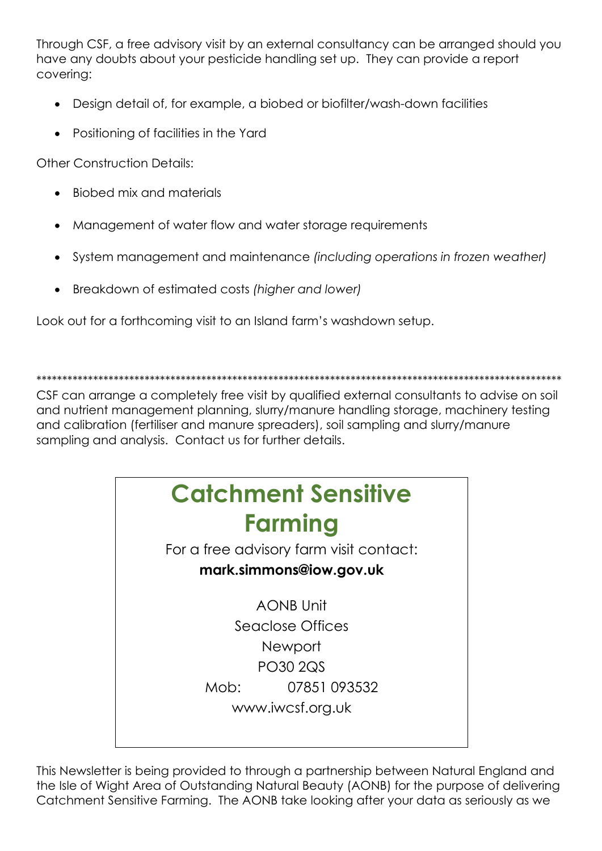Through CSF, a free advisory visit by an external consultancy can be arranged should you have any doubts about your pesticide handling set up. They can provide a report coverina:

- Design detail of, for example, a biobed or biofilter/wash-down facilities
- Positioning of facilities in the Yard

**Other Construction Details:** 

- Biobed mix and materials
- Management of water flow and water storage requirements
- System management and maintenance (including operations in frozen weather)
- Breakdown of estimated costs (higher and lower)

Look out for a forthcoming visit to an Island farm's washdown setup.

CSF can arrange a completely free visit by qualified external consultants to advise on soil and nutrient management planning, slurry/manure handling storage, machinery testing and calibration (fertiliser and manure spreaders), soil sampling and slurry/manure sampling and analysis. Contact us for further details.



This Newsletter is being provided to through a partnership between Natural England and the Isle of Wight Area of Outstanding Natural Beauty (AONB) for the purpose of delivering Catchment Sensitive Farming. The AONB take looking after your data as seriously as we